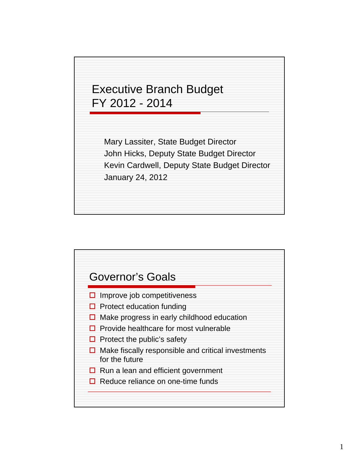

Mary Lassiter, State Budget Director John Hicks, Deputy State Budget Director Kevin Cardwell, Deputy State Budget Director January 24, 2012

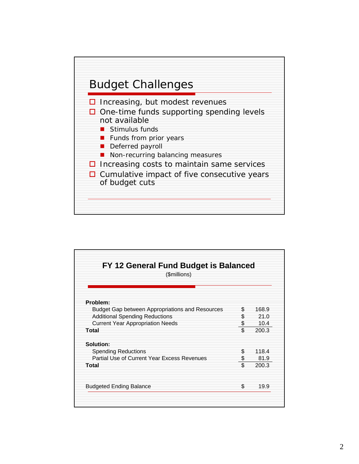

| FY 12 General Fund Budget is Balanced<br>(\$millions) |     |       |
|-------------------------------------------------------|-----|-------|
| Problem:                                              |     |       |
| Budget Gap between Appropriations and Resources       | \$. | 168.9 |
| <b>Additional Spending Reductions</b>                 | S.  | 21.0  |
| <b>Current Year Appropriation Needs</b>               | \$  | 10.4  |
| Total                                                 | \$  | 200.3 |
| Solution:                                             |     |       |
| <b>Spending Reductions</b>                            | \$  | 118.4 |
| Partial Use of Current Year Excess Revenues           | \$  | 81.9  |
| Total                                                 | \$  | 200.3 |
| <b>Budgeted Ending Balance</b>                        | \$  | 19.9  |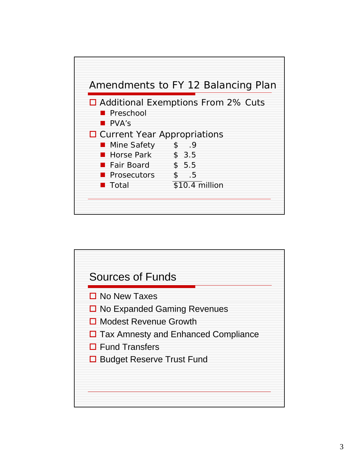

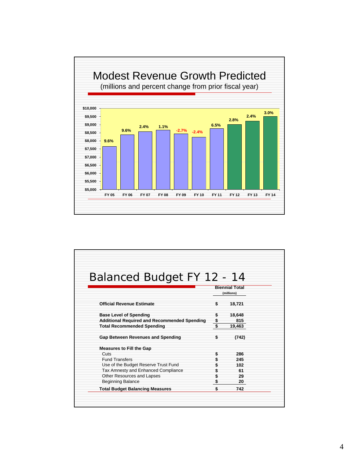

| Balanced Budget FY 12 - 14                          |                       |
|-----------------------------------------------------|-----------------------|
|                                                     | <b>Biennial Total</b> |
|                                                     | (millions)            |
| <b>Official Revenue Estimate</b>                    | \$<br>18,721          |
| <b>Base Level of Spending</b>                       | \$<br>18,648          |
| <b>Additional Required and Recommended Spending</b> | \$<br>815             |
| <b>Total Recommended Spending</b>                   | \$<br>19,463          |
| Gap Between Revenues and Spending                   | \$<br>(742)           |
| <b>Measures to Fill the Gap</b>                     |                       |
| Cuts                                                | \$<br>286             |
| <b>Fund Transfers</b>                               | \$<br>245             |
| Use of the Budget Reserve Trust Fund                | 102                   |
| Tax Amnesty and Enhanced Compliance                 | \$<br>61              |
| Other Resources and Lapses                          | 29                    |
| <b>Beginning Balance</b>                            | 20                    |
| <b>Total Budget Balancing Measures</b>              | \$<br>742             |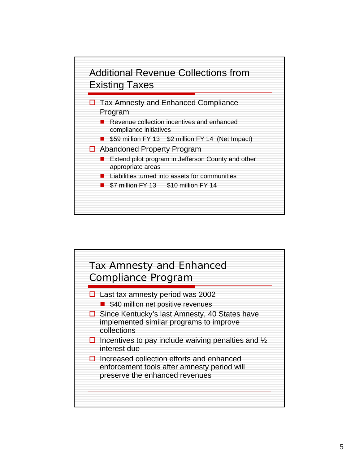

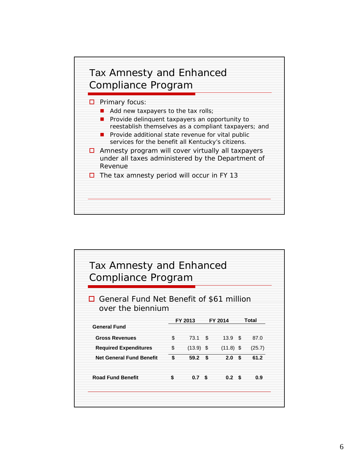

| Compliance Program                                            | Tax Amnesty and Enhanced |                  |     |        |
|---------------------------------------------------------------|--------------------------|------------------|-----|--------|
| General Fund Net Benefit of \$61 million<br>over the biennium | FY 2013                  | FY 2014          |     | Total  |
| <b>General Fund</b>                                           |                          |                  |     |        |
| <b>Gross Revenues</b>                                         | \$<br>73.1               | \$<br>13.9       | \$. | 87.0   |
| <b>Required Expenditures</b>                                  | \$<br>$(13.9)$ \$        | $(11.8)$ \$      |     | (25.7) |
| <b>Net General Fund Benefit</b>                               | \$<br>59.2               | \$<br>2.0        | \$  | 61.2   |
|                                                               | \$<br>0.7 <sup>5</sup>   | 0.2 <sup>5</sup> |     | 0.9    |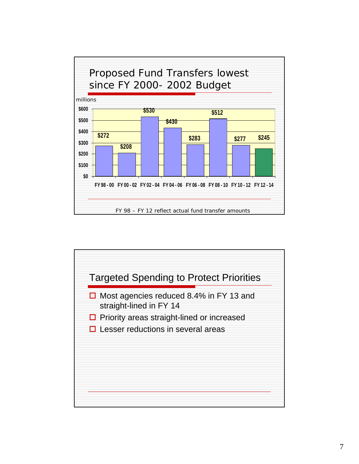

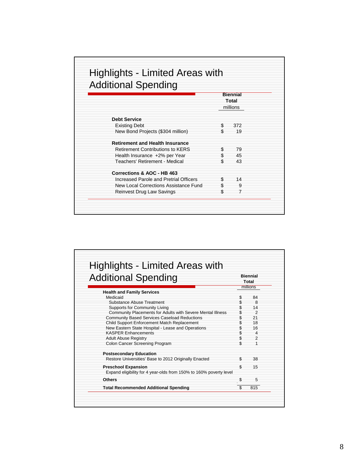| <b>Additional Spending</b>              |     |                 |
|-----------------------------------------|-----|-----------------|
|                                         |     | <b>Biennial</b> |
|                                         |     | Total           |
|                                         |     | millions        |
| <b>Debt Service</b>                     |     |                 |
| <b>Existing Debt</b>                    | S   | 372             |
| New Bond Projects (\$304 million)       | \$  | 19              |
| <b>Retirement and Health Insurance</b>  |     |                 |
| <b>Retirement Contributions to KERS</b> | \$  | 79              |
| Health Insurance +2% per Year           | \$  | 45              |
| Teachers' Retirement - Medical          | \$  | 43              |
| Corrections & AOC - HB 463              |     |                 |
| Increased Parole and Pretrial Officers  | \$  | 14              |
| New Local Corrections Assistance Fund   | \$  | 9               |
| Reinvest Drug Law Savings               | \$. |                 |

| <b>Additional Spending</b>                                                                                        |          | <b>Biennial</b><br>Total |
|-------------------------------------------------------------------------------------------------------------------|----------|--------------------------|
|                                                                                                                   |          | millions                 |
| <b>Health and Family Services</b><br>Medicaid                                                                     | \$       | 84                       |
| Substance Abuse Treatment<br><b>Supports for Community Living</b>                                                 | \$       | 8<br>14                  |
| Community Placements for Adults with Severe Mental Illness<br><b>Community Based Services Caseload Reductions</b> | \$       | $\mathcal{P}$<br>21      |
| Child Support Enforcement Match Replacement                                                                       | \$       | 18                       |
| New Eastern State Hospital - Lease and Operations<br><b>KASPER Enhancements</b>                                   | \$       | 16<br>$\overline{a}$     |
| <b>Adult Abuse Registry</b><br>Colon Cancer Screening Program                                                     | \$<br>\$ | $\mathfrak{p}$           |
| <b>Postsecondary Education</b>                                                                                    |          |                          |
| Restore Universities' Base to 2012 Originally Enacted                                                             | \$       | 38                       |
| <b>Preschool Expansion</b><br>Expand eligibility for 4 year-olds from 150% to 160% poverty level                  | \$       | 15                       |
| Others                                                                                                            | \$       | 5                        |
| <b>Total Recommended Additional Spending</b>                                                                      | \$       | 815                      |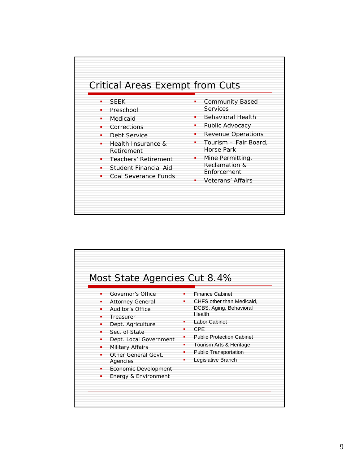

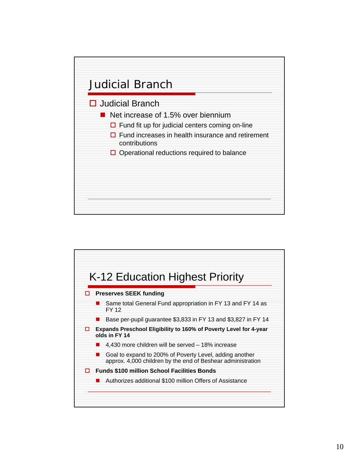

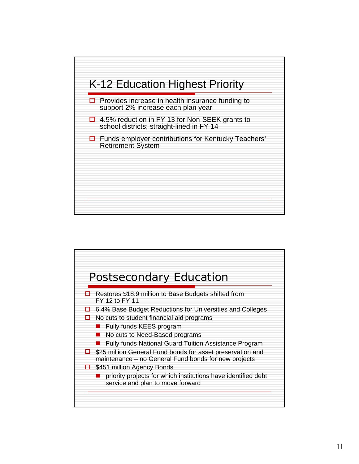

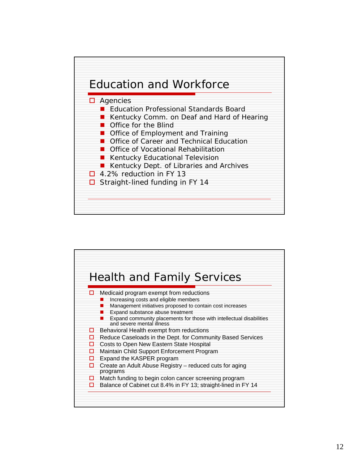

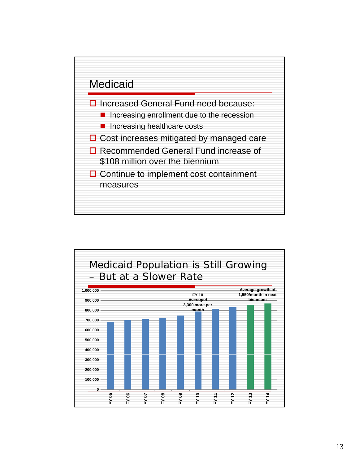

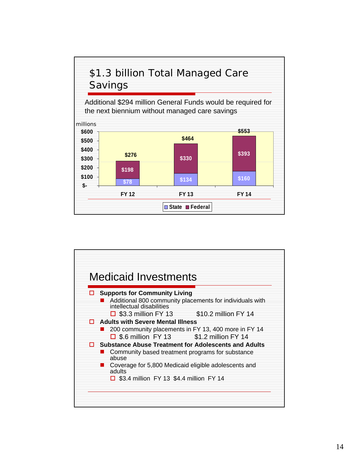

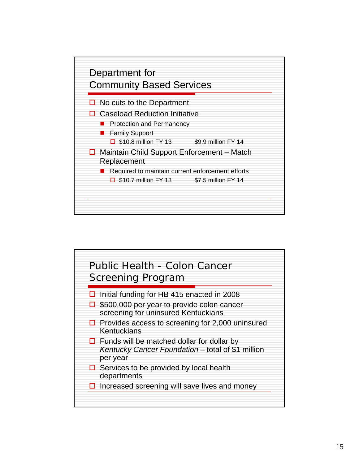

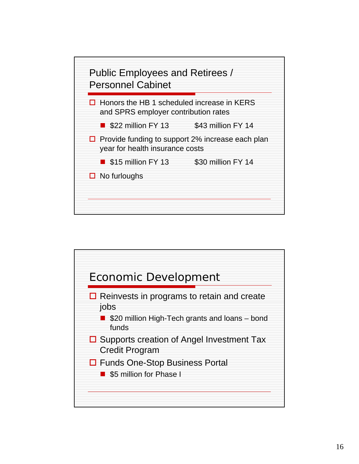

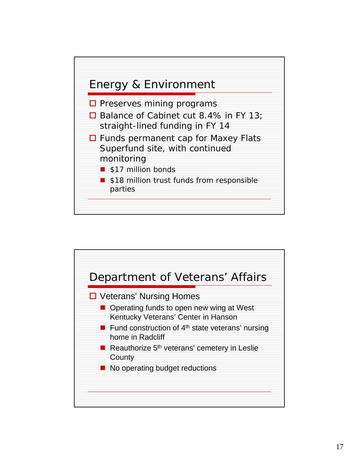

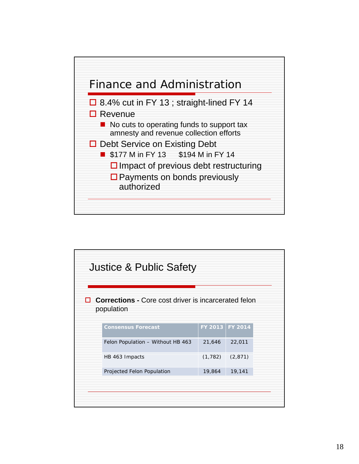

| <b>Justice &amp; Public Safety</b>                                        |          |                 |  |
|---------------------------------------------------------------------------|----------|-----------------|--|
| <b>Corrections</b> - Core cost driver is incarcerated felon<br>population |          |                 |  |
| <b>Consensus Forecast</b>                                                 |          | FY 2013 FY 2014 |  |
| Felon Population - Without HB 463                                         | 21,646   | 22,011          |  |
| HB 463 Impacts                                                            | (1, 782) | (2, 871)        |  |
| Projected Felon Population                                                | 19,864   | 19,141          |  |
|                                                                           |          |                 |  |
|                                                                           |          |                 |  |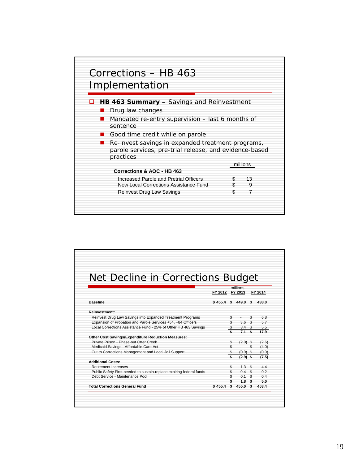

| Net Decline in Corrections Budget                                    |                  |    |                  |     |         |
|----------------------------------------------------------------------|------------------|----|------------------|-----|---------|
|                                                                      |                  |    | millions         |     |         |
|                                                                      | FY 2012          |    | FY 2013          |     | FY 2014 |
| <b>Baseline</b>                                                      | $$455.4$ \$449.0 |    |                  | \$  | 438.0   |
| Reinvestment:                                                        |                  |    |                  |     |         |
| Reinvest Drug Law Savings into Expanded Treatment Programs           |                  | S  |                  | \$  | 6.8     |
| Expansion of Probation and Parole Services +54, +84 Officers         |                  | \$ | 3.6              | -\$ | 5.7     |
| Local Corrections Assistance Fund - 25% of Other HB 463 Savings      |                  | S  | 3.4 <sup>5</sup> |     | 5.5     |
|                                                                      |                  |    | 7.1              |     | 17.9    |
| Other Cost Savings/Expenditure Reduction Measures:                   |                  |    |                  |     |         |
| Private Prison - Phase-out Otter Creek                               |                  | \$ | $(2.0)$ \$       |     | (2.6)   |
| Medicaid Savings - Affordable Care Act                               |                  | \$ |                  |     | (4.0)   |
| Cut to Corrections Management and Local Jail Support                 |                  | \$ | $(0.9)$ \$       |     | (0.9)   |
|                                                                      |                  |    | $(2.9)$ \$       |     | (7.5)   |
| <b>Additional Costs:</b>                                             |                  |    |                  |     |         |
| Retirement Increases                                                 |                  | S  | $1.3 -$          | \$. | 4.4     |
| Public Safety First-needed to sustain-replace expiring federal funds |                  | \$ | 0.4 <sup>5</sup> |     | 0.2     |
| Debt Service - Maintenance Pool                                      |                  | \$ | 0.1              | \$. | 0.4     |
|                                                                      |                  | \$ | 1.8 <sup>5</sup> |     | 5.0     |
| <b>Total Corrections General Fund</b>                                | \$455.4          | \$ | 455.0 S          |     | 453.4   |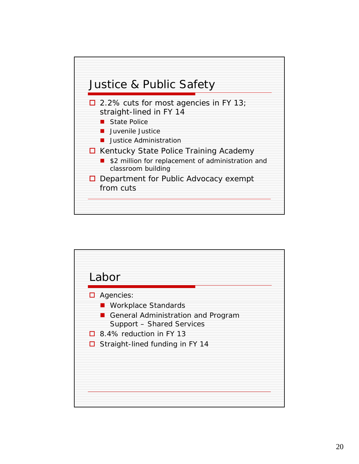

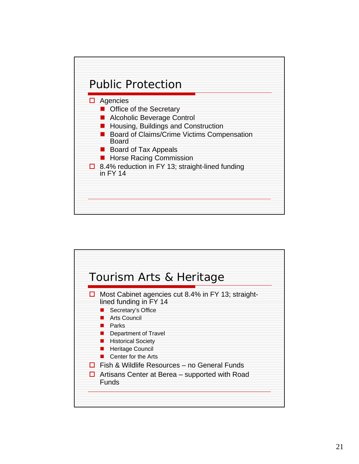

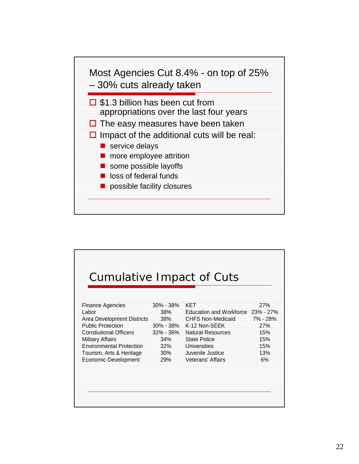

| <b>Cumulative Impact of Cuts</b><br><b>Finance Agencies</b><br>Labor | 30% - 38%<br>38% | KET<br>Education and Workforce 23% - 27% | 27%        |
|----------------------------------------------------------------------|------------------|------------------------------------------|------------|
| Area Development Districts                                           | 38%              | <b>CHFS Non-Medicaid</b>                 | 7% - 28%   |
| <b>Public Protection</b>                                             | 30% - 38%        | K-12 Non-SEEK                            | 27%        |
| <b>Constiutional Officers</b>                                        | 32% - 36%        | <b>Natural Resources</b>                 | 15%        |
| <b>Military Affairs</b>                                              | 34%              | State Police                             | 15%        |
| <b>Environmental Protection</b>                                      | 32%<br>30%       | Universities<br>Juvenile Justice         | 15%<br>13% |
| Tourism, Arts & Heritage<br><b>Economic Development</b>              | 29%              | Veterans' Affairs                        | 6%         |
|                                                                      |                  |                                          |            |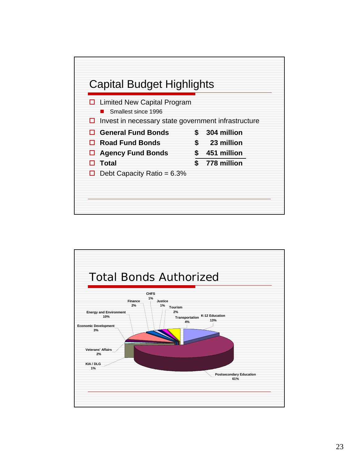

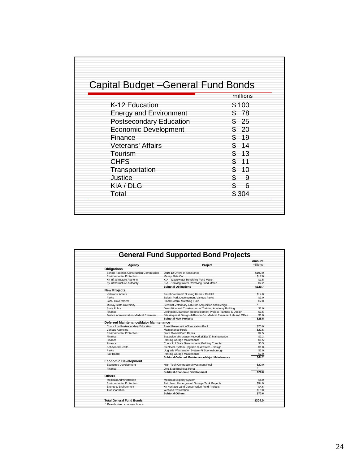| Capital Budget - General Fund Bonds |           |
|-------------------------------------|-----------|
|                                     | millions  |
| K-12 Education                      | \$100     |
| <b>Energy and Environment</b>       | \$78      |
| <b>Postsecondary Education</b>      | \$25      |
| <b>Economic Development</b>         | \$20      |
| Finance                             | - 19      |
| <b>Veterans' Affairs</b>            | 14        |
| Tourism                             | 13        |
| <b>CHFS</b>                         | 11        |
| Transportation                      | \$.<br>10 |
| Justice                             | \$.<br>9  |
| KIA / DLG                           | 6         |
| Total                               | \$304     |
|                                     |           |
|                                     |           |

|                                           |                                                                    | <b>Amount</b> |
|-------------------------------------------|--------------------------------------------------------------------|---------------|
| Agency                                    | Project                                                            | millions      |
| <b>Obligations</b>                        |                                                                    |               |
| School Facilities Construction Commission | 2010-12 Offers of Assistance                                       | \$100.0       |
| <b>Environmental Protection</b>           | Maxev Flats Cap                                                    | \$17.0        |
| Ky Infrastructure Authority               | KIA - Wastewater Revolving Fund Match                              | \$1.5         |
| Ky Infrastructure Authority               | KIA - Drinking Water Revolving Fund Match                          | \$2.2         |
|                                           | <b>Subtotal-Obligations</b>                                        | \$120.7       |
| <b>New Projects</b>                       |                                                                    |               |
| Veterans' Affairs                         | Fourth Veterans' Nursing Home - Radcliff                           | \$14.0        |
| Parks                                     | Splash Park Development-Various Parks                              | \$3.0         |
| <b>Local Government</b>                   | Flood Control Matching Fund                                        | \$2.0         |
| Murray State University                   | Breathitt Veterinary Lab-Site Acquisition and Design               |               |
| <b>State Police</b>                       | Demolition and Construction of Training Academy Building           | \$2.0         |
| Finance                                   | Lexington Downtown Redevelopment Project-Planning & Design         | \$3.5         |
| Justice Administration-Medical Examiner   | Site Acquis.& Design-Jefferson Co. Medical Examiner Lab and Office | \$1.0         |
|                                           | <b>Subtotal-New Projects</b>                                       | \$25.5        |
| Deferred Maintenance/Major Maintenance    |                                                                    |               |
| Council on Postsecondary Education        | Asset Preservation/Renovation Pool                                 | \$25.0        |
| Various Agencies                          | Maintenance Pools                                                  | \$22.5        |
| <b>Environmental Protection</b>           | State Owned Dam Repair                                             | \$2.5         |
| Finance                                   | Statewide Microwave Network (KEWS) Maintenance                     | \$2.2         |
| Finance                                   | Parking Garage Maintenance                                         | \$1.5         |
| Finance                                   | Council of State Governments Building Complex                      | \$5.5         |
| <b>Behavioral Health</b>                  | Electrical System Upgrade at Western - Design                      | \$1.0         |
| Parks                                     | Upgrade Wastewater System-Ft Boonesborough                         | \$2.0         |
| Fair Board                                | Parking Garage Maintenance                                         | \$2.0         |
|                                           | Subtotal-Deferred Maintenance/Major Maintenance                    | \$64.2        |
| <b>Economic Development</b>               |                                                                    |               |
| Economic Development                      | High-Tech Contruction/Investment Pool                              | \$20.0        |
| Finance                                   | One-Stop Business Portal                                           |               |
|                                           | <b>Subtotal-Economic Development</b>                               | \$20.0        |
| <b>Others</b>                             |                                                                    |               |
| <b>Medicaid Administration</b>            | Medicaid Eligibilty System                                         | \$5.0         |
| <b>Environmental Protection</b>           | Petroleum Underground Storage Tank Projects                        | \$54.0        |
| Energy & Environment                      | Ky Heritage Land Conservation Fund Projects                        | \$4.6         |
| Transportation                            | Wetland Restoration                                                | \$10.0        |
|                                           | <b>Subtotal-Others</b>                                             | \$73.6        |
|                                           |                                                                    |               |
| <b>Total General Fund Bonds</b>           |                                                                    | \$304.0       |
| * Reauthorized - not new bonds            |                                                                    |               |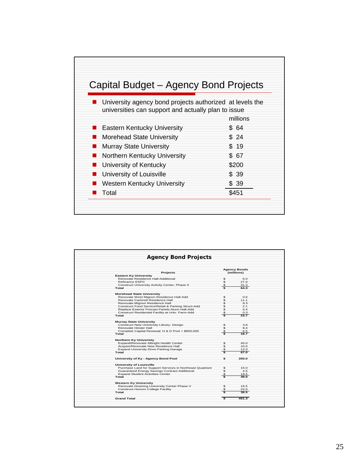

| <b>Agency Bond Projects</b>                              |              |                                   |
|----------------------------------------------------------|--------------|-----------------------------------|
| <b>Projects</b>                                          |              | <b>Agency Bonds</b><br>(millions) |
| <b>Eastern Ky University</b>                             |              |                                   |
| Renovate Residence Hall-Additional                       | \$           | 6.0                               |
| Refinance ESPC                                           | $\mathbf{s}$ | 27.0                              |
| Construct University Activity Center, Phase II           | \$           | 31.3                              |
| Total                                                    | \$           | 64.3                              |
| <b>Morehead State University</b>                         |              |                                   |
| Renovate West Mignon Residence Hall-Add                  | \$           | 0.6                               |
| Renovate Cartmell Residence Hall                         | \$           | 11.1                              |
| Renovate Mignon Residence Hall                           | \$           | 9.3                               |
| Construct Food Service/Retail & Parking Struct-Add       | \$           | 2.1                               |
| Replace Exterior Precast Panels-Nunn Hall-Add            | \$           | 0.4                               |
| Construct Residential Facility at Univ. Farm-Add         | \$           | 0.3                               |
| Total                                                    | Ś.           | 23.7                              |
|                                                          |              |                                   |
| <b>Murray State University</b>                           |              |                                   |
| Construct New University Library- Design                 | \$           | 3.8                               |
| Renovate Hester Hall                                     | \$           | 8.4                               |
| Complete Capital Renewal: H & D Pool < \$600,000         | \$           | 6.5                               |
| Total                                                    | \$.          | 18.7                              |
| Northern Ky Univeristy                                   |              |                                   |
| Expand/Renovate Albright Health Center                   | \$           | 45.0                              |
| Acquire/Renovate New Residence Hall                      | s.           | 10.0                              |
| <b>Expand University Drive Parking Garage</b>            | \$.          | 12.0                              |
| Total                                                    | s            | 67.0                              |
| University of Ky - Agency Bond Pool                      | s.           | 200.0                             |
| University of Louisville                                 |              |                                   |
| Purchase Land for Support Services in Northeast Quadrant | s.           | 15.0                              |
| Guaranteed Energy Savings Contract-Additional            | \$           | 4.5                               |
| <b>Expand Student Activities Center</b>                  | \$           | 19.5                              |
| Total                                                    |              | 39.0                              |
| <b>Western Ky University</b>                             |              |                                   |
| Renovate Downing University Center-Phase V               | \$           | 16.5                              |
| <b>Construct Honors College Facility</b>                 | \$           | 22.0                              |
| Total                                                    | \$           | 38.5                              |
|                                                          |              |                                   |
| <b>Grand Total</b>                                       | ŝ.           | 451.3                             |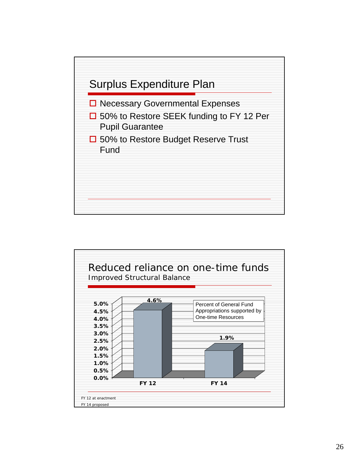

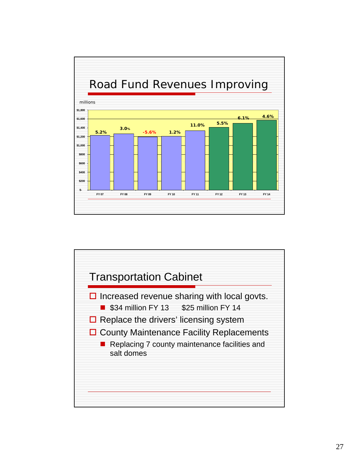